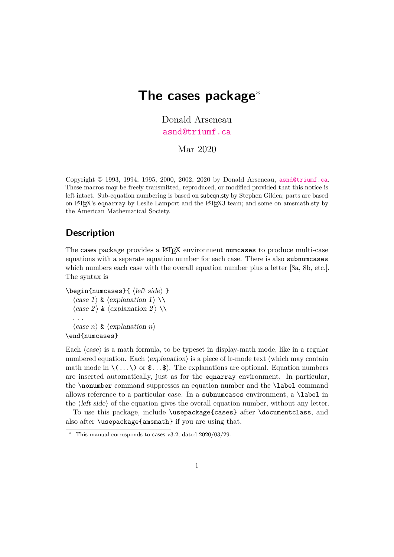# **The cases package**<sup>∗</sup>

Donald Arseneau [asnd@triumf.ca](mailto:asnd@triumf.ca)

Mar 2020

Copyright © 1993, 1994, 1995, 2000, 2002, 2020 by Donald Arseneau, [asnd@triumf.ca](mailto:asnd@triumf.ca). These macros may be freely transmitted, reproduced, or modified provided that this notice is left intact. Sub-equation numbering is based on subeqn.sty by Stephen Gildea; parts are based on LATEX's eqnarray by Leslie Lamport and the LATEX3 team; and some on amsmath.sty by the American Mathematical Society.

## **Description**

The cases package provides a L<sup>A</sup>T<sub>EX</sub> environment numcases to produce multi-case equations with a separate equation number for each case. There is also subnumcases which numbers each case with the overall equation number plus a letter [8a, 8b, etc.]. The syntax is

```
\begin{numcases}{ 〈left side〉 }
    \langle case 1 \rangle \& \langle explanation 1 \rangle \setminus\langle \text{case } 2 \rangle \& \langle \text{explanation } 2 \rangle \setminus \mathcal{O}. . .
    〈case n〉 & 〈explanation n〉
\end{numcases}
```
Each  $\langle case \rangle$  is a math formula, to be typeset in display-math mode, like in a regular numbered equation. Each  $\langle explanation \rangle$  is a piece of lr-mode text (which may contain math mode in  $\langle \ldots \rangle$  or  $\text{\$} \ldots \text{\$}$ . The explanations are optional. Equation numbers are inserted automatically, just as for the eqnarray environment. In particular, the \nonumber command suppresses an equation number and the \label command allows reference to a particular case. In a subnumcases environment, a \label in the  $\langle\text{left side}\rangle$  of the equation gives the overall equation number, without any letter.

To use this package, include \usepackage{cases} after \documentclass, and also after \usepackage{amsmath} if you are using that.

 $\overline{\text{A}}$  This manual corresponds to cases v3.2, dated 2020/03/29.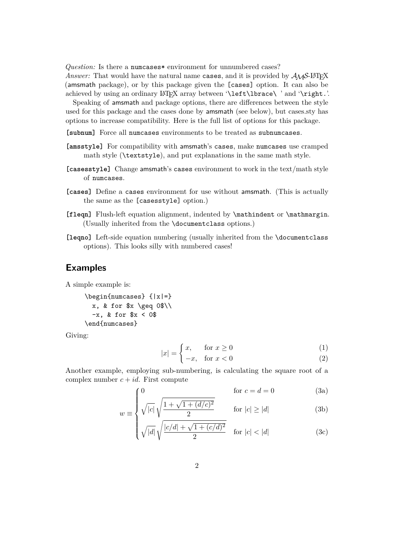*Question:* Is there a numcases\* environment for unnumbered cases?

*Answer:* That would have the natural name cases, and it is provided by  $A_{\mathcal{M}}S$ -LAT<sub>F</sub>X (amsmath package), or by this package given the [cases] option. It can also be achieved by using an ordinary LAT<sub>E</sub>X array between '\left\lbrace\ ' and '\right.'.

Speaking of amsmath and package options, there are differences between the style used for this package and the cases done by amsmath (see below), but cases.sty has options to increase compatibility. Here is the full list of options for this package.

**[subnum]** Force all numcases environments to be treated as subnumcases.

- **[amsstyle]** For compatibility with amsmath's cases, make numcases use cramped math style (\textstyle), and put explanations in the same math style.
- **[casesstyle]** Change amsmath's cases environment to work in the text/math style of numcases.
- **[cases]** Define a cases environment for use without amsmath. (This is actually the same as the [casesstyle] option.)
- **[fleqn]** Flush-left equation alignment, indented by \mathindent or \mathmargin. (Usually inherited from the \documentclass options.)
- **[leqno]** Left-side equation numbering (usually inherited from the \documentclass options). This looks silly with numbered cases!

#### **Examples**

A simple example is:

\begin{numcases} {|x|=} x, & for  $x \geq 0$ \$\\  $-x$ , & for  $x < 0$ \$ \end{numcases}

 $\bigcap_{i=1}^{\infty}$ 

<span id="page-1-1"></span>Giving:

$$
\int x, \quad \text{for } x \ge 0 \tag{1}
$$

$$
|x| = \begin{cases} x, & \text{for } x \ge 0 \\ -x, & \text{for } x < 0 \end{cases} \tag{2}
$$

<span id="page-1-0"></span>Another example, employing sub-numbering, is calculating the square root of a complex number  $c + id$ . First compute

$$
0 \qquad \qquad \text{for } c = d = 0 \tag{3a}
$$

$$
w \equiv \begin{cases} \sqrt{|c|} \sqrt{\frac{1 + \sqrt{1 + (d/c)^2}}{2}} & \text{for } |c| \ge |d| \end{cases}
$$
 (3b)

$$
\sqrt{|d|} \sqrt{\frac{|c/d| + \sqrt{1 + (c/d)^2}}{2}} \quad \text{for } |c| < |d| \tag{3c}
$$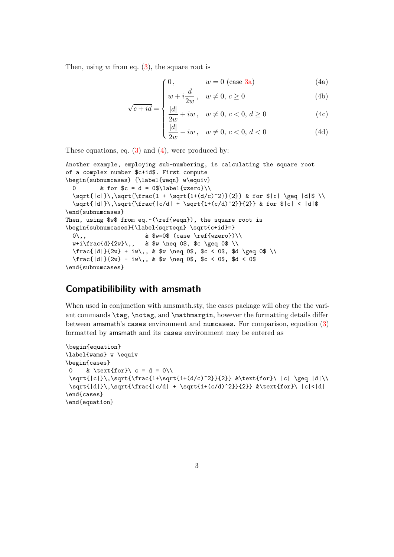<span id="page-2-0"></span>Then, using  $w$  from eq.  $(3)$ , the square root is

 $\sqrt{ }$ 

√

$$
0, \t w = 0 \t (case 3a) \t (4a)
$$

$$
\begin{cases}\n w + i \frac{d}{2w}, & w \neq 0, c \geq 0 \\
 |d| & \end{cases}
$$
\n(4b)

$$
c + id = \begin{cases} \frac{|d|}{2w} + iw, & w \neq 0, c < 0, d \geq 0\\ \frac{|d|}{2w} - iw, & w \neq 0, c < 0, d < 0 \end{cases}
$$
(4c)

$$
\frac{|d|}{2w} - iw, \quad w \neq 0, \, c < 0, \, d < 0 \tag{4d}
$$

These equations, eq.  $(3)$  and  $(4)$ , were produced by:

```
Another example, employing sub-numbering, is calculating the square root
of a complex number $c+id$. First compute
\begin{subnumcases} {\label{weqn} w\equiv}
 0 & for c = d = 0 \label{wzero}\\
 \sqrt{|c|}\,\sqrt{\frac{1 + \sqrt{1+(d/c)^2}}{2}} & for $|c| \geq |d|$ \\
 \sqrt{|d|}\,\sqrt{\frac{|c/d| + \sqrt{1+(c/d)^2}}{2}} & for $|c| < |d|$
\end{subnumcases}
Then, using $w$ from eq.~(\ref{weqn}), the square root is
\begin{subnumcases}{\label{sqrteqn} \sqrt{c+id}=}
 0\backslash, \& $w=0$ (case \ref{wzero})\\
 w+i\frac{d}{2w}\},, & $w \neq 0$, $c \geq 0$ \\
 \frac{ |d|}{2w} + iw, \& \ w \neq 0\, c < 0\, d \geq 0\\frac{|d|}{2w} - iw,, & $w \neq 0$, $c < 0$, $d < 0$
\end{subnumcases}
```
## **Compatibilibility with amsmath**

When used in conjunction with amsmath.sty, the cases package will obey the the variant commands \tag, \notag, and \mathmargin, however the formatting details differ between amsmath's cases environment and numcases. For comparison, equation [\(3\)](#page-1-0) formatted by amsmath and its cases environment may be entered as

```
\begin{equation}
\label{wams} w \equiv
\begin{cases}
0 & \text{for}\ c = d = 0\\
\sqrt{|c|}\,\sqrt{\frac{1+\sqrt{1+(d/c)^2}}{2}} &\text{for}\ |c| \geq |d|\\
\sqrt{|d|}\,\sqrt{|d|} \, \sqrt{|d| + \sqrt{|d|}} \, \sqrt{|d|} \, \sqrt{|d|} \, \sqrt{|d|}\end{cases}
\end{equation}
```